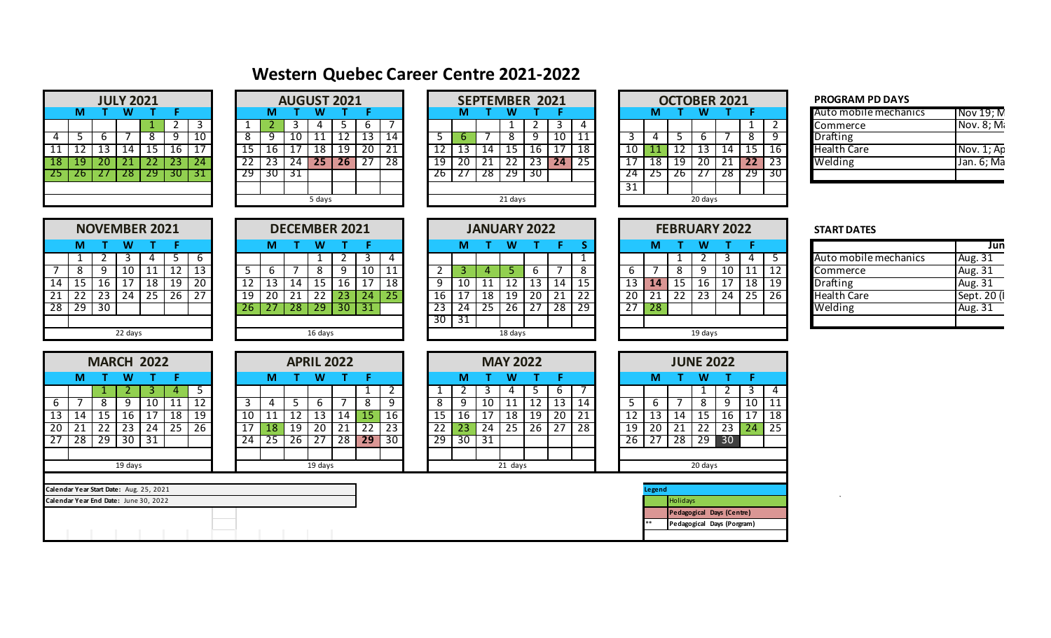## **Western Quebec Career Centre 2021-2022**

|    |    |                 | <b>JULY 2021</b> |    |    |    |
|----|----|-----------------|------------------|----|----|----|
|    | м  |                 | W                |    | F  |    |
|    |    |                 |                  |    | 2  | 3  |
| 4  | 5  | 6               |                  | 8  | q  | 10 |
| 11 | 12 | $\overline{13}$ | 14               | 15 | 16 | 1. |
| 18 | 19 | 20              | 21               | 22 | 23 | 24 |
| 25 | 26 | 27              | 28               | 29 | 30 |    |
|    |    |                 |                  |    |    |    |
|    |    |                 |                  |    |    |    |

|     |     | <b>JULY 2021</b> |    |     |    |    |     |     | <b>AUGUST 2021</b> |                 |    |    |     |    |     |         | <b>SEPTEMBER 2021</b> |    |    |    |    |    | <b>OCTOBER 2021</b> |    |                 |     | <b>PROGRA</b>   |
|-----|-----|------------------|----|-----|----|----|-----|-----|--------------------|-----------------|----|----|-----|----|-----|---------|-----------------------|----|----|----|----|----|---------------------|----|-----------------|-----|-----------------|
|     | M   |                  |    |     |    |    | м   |     |                    |                 |    |    |     |    |     |         |                       |    |    |    | M  |    |                     |    |                 |     | Auto mo         |
|     |     |                  |    |     |    |    |     |     |                    |                 |    |    |     |    |     |         |                       |    |    |    |    |    |                     |    |                 |     | Commer          |
|     |     |                  |    |     |    | 8  |     |     |                    |                 |    | 14 |     |    |     |         |                       | 10 |    |    |    |    |                     |    |                 |     | <b>Drafting</b> |
|     |     |                  |    |     |    |    |     |     | 18                 | 19              | 20 | 21 |     |    |     | ∟ ت     | 16                    | 17 | 18 |    |    |    |                     | 14 | 15              | 16  | <b>Health C</b> |
| 187 | -19 |                  |    | 23  | 24 |    | 23  | 24  | 25 <sub>1</sub>    | 26 <sup>1</sup> | 27 | 28 | 19  | 20 | -21 | 22      | 23                    | 24 | 25 | 17 | 18 | 19 | 20                  | 21 | 22 <sub>2</sub> | 23  | Welding         |
| 25  |     | ZΟ               | 29 | -30 |    | 29 | -30 | -31 |                    |                 |    |    | 2b. |    | 28  | 29      | -30                   |    |    | 24 |    |    |                     | 28 | 29              | -30 |                 |
|     |     |                  |    |     |    |    |     |     |                    |                 |    |    |     |    |     |         |                       |    |    | 31 |    |    |                     |    |                 |     |                 |
|     |     |                  |    |     |    |    |     |     | 5 days             |                 |    |    |     |    |     | 21 days |                       |    |    |    |    |    | 20 days             |    |                 |     |                 |

|        | <b>JST 2021</b> |    |    |    |    |    | <b>SEPTEMBER 2021</b> |    |    |     |    |    | <b>OCTOBER</b> |         |
|--------|-----------------|----|----|----|----|----|-----------------------|----|----|-----|----|----|----------------|---------|
| W      |                 |    |    |    | М  |    | W                     |    |    |     |    | М  |                | W       |
| 4      |                 | 6  |    |    |    |    |                       |    | 3  | 4   |    |    |                |         |
| 11     | 2               | 13 | 14 |    | b  |    | Ω<br>Λ                | g  | 10 | ا ا |    |    |                | b       |
| 18     | $1\overline{9}$ | 20 |    |    | 13 | 14 | 15                    | 16 |    | 18  |    |    |                | 13      |
| 25     | 26              | 27 | 28 | 19 | 20 | 21 |                       | 23 | 24 | 25  |    | 18 | 19             | 20      |
|        |                 |    |    | żь |    | 8  | 9                     | 30 |    |     |    |    | Żb             |         |
|        |                 |    |    |    |    |    |                       |    |    |     | 31 |    |                |         |
|        |                 |    |    |    |    |    | 21 days               |    |    |     |    |    |                | 20 days |
| 5 days |                 |    |    |    |    |    |                       |    |    |     |    |    |                |         |

**M T W T F M T W T F M T W T F S M T W T F**

**DECEMBER 2021 JANUARY 2022 FEBRUARY 2022**

|                 | <b>OCTOBER 2021</b> |                 |    |    |    |                 |  |  |  |  |  |
|-----------------|---------------------|-----------------|----|----|----|-----------------|--|--|--|--|--|
|                 | м                   |                 | W  |    | F  |                 |  |  |  |  |  |
|                 |                     |                 |    |    |    | $\overline{2}$  |  |  |  |  |  |
| 3               | 4                   | 5               | 6  |    | 8  | q               |  |  |  |  |  |
| 10              | 11                  | 12              | 13 | 14 | 15 | 16              |  |  |  |  |  |
| $\overline{17}$ | 18                  | $\overline{19}$ | 20 | 21 | 22 | $\overline{23}$ |  |  |  |  |  |
| 24              | 25                  | 26              | 27 | 28 | 29 | 30              |  |  |  |  |  |
| 31              |                     |                 |    |    |    |                 |  |  |  |  |  |
|                 | 20 days             |                 |    |    |    |                 |  |  |  |  |  |

|          |                 |     |       |            |    |     |        |     |     | . . <del>.</del> |                   |                       |     |                 |      |     |     |               |                 | ------------ |           |    |     |                |    |                   |    |                       |               |
|----------|-----------------|-----|-------|------------|----|-----|--------|-----|-----|------------------|-------------------|-----------------------|-----|-----------------|------|-----|-----|---------------|-----------------|--------------|-----------|----|-----|----------------|----|-------------------|----|-----------------------|---------------|
|          |                 |     |       |            |    |     |        |     |     |                  |                   |                       |     |                 |      |     |     |               |                 |              |           |    |     |                |    |                   |    | Auto mobile mechanics | Nov 19; N     |
|          |                 |     |       |            |    |     |        |     |     |                  |                   |                       |     |                 |      |     |     |               |                 |              |           |    |     |                |    |                   |    | Commerce              | Nov. 8; M.    |
|          |                 |     |       |            | 10 |     |        | 10  | . . | ᅩᄼ               | $\sim$<br><b></b> | 14                    |     |                 |      |     |     | 10            | 11              |              |           |    |     |                |    |                   |    | Drafting              |               |
| 11<br>ᆂᆂ | 12              | 14  | 15    | 16         |    |     | 1b.    |     | 18  | 19               | 20 <sup>1</sup>   | $^{\circ}$ 1<br>1 Z L |     |                 | ∣ 41 |     | ⊥Ο  | $\rightarrow$ | $\overline{18}$ |              | 10        |    |     | 13             | 14 |                   | 16 | <b>Health Care</b>    | Nov. 1; Ap    |
|          | 19 <sub>l</sub> |     |       | 23         | 24 |     | 23.    | 24  | -45 | 26               |                   | 28                    | 19  | 20 <sub>1</sub> |      | LL  | 23  | l 24          | 25              |              |           | 18 | 19  | 20             |    | ר ו<br>$\sqrt{2}$ | 23 | Welding               | Jan. $6$ ; Ma |
|          | <b>Z6 L</b>     | 28. | $-29$ | <b>307</b> | 31 | -29 | $30-1$ | -31 |     |                  |                   |                       | 26. | $\angle$ /      | -28  | -49 | -30 |               |                 |              | <b>24</b> | 25 | Zb. | $\overline{a}$ | 28 | -29               | 30 |                       |               |
|          |                 |     |       |            |    |     |        |     |     |                  |                   |                       |     |                 |      |     |     |               |                 |              | .         |    |     |                |    |                   |    |                       |               |

|                 |    |                           | <b>NOVEMBER 2021</b> |                 |    |    |  |  |  |  |  |  |  |  |  |
|-----------------|----|---------------------------|----------------------|-----------------|----|----|--|--|--|--|--|--|--|--|--|
|                 | м  |                           | W                    |                 | F  |    |  |  |  |  |  |  |  |  |  |
|                 | 1  | 2<br>3<br>6<br>5          |                      |                 |    |    |  |  |  |  |  |  |  |  |  |
|                 | 8  | 12<br>13<br>9<br>10<br>11 |                      |                 |    |    |  |  |  |  |  |  |  |  |  |
| $\overline{14}$ | 15 | 16                        | 17                   | 18              | 19 | 20 |  |  |  |  |  |  |  |  |  |
| 21              | 22 | 23                        | $\overline{2}4$      | $\overline{25}$ | 26 | 27 |  |  |  |  |  |  |  |  |  |
| $\overline{28}$ | 29 | 30                        |                      |                 |    |    |  |  |  |  |  |  |  |  |  |
|                 |    |                           |                      |                 |    |    |  |  |  |  |  |  |  |  |  |
| 22 days         |    |                           |                      |                 |    |    |  |  |  |  |  |  |  |  |  |

|                                         |                 | 2               | 3               | 4                 |                 | 6               |    |    |    |                 |                   | 3   | 4               |      |       |             |                      |                 |    |                 |    |                 | 1                          |                  | 3               | 4               | 5. | Auto mobile mechanics<br>Aug. 31  |
|-----------------------------------------|-----------------|-----------------|-----------------|-------------------|-----------------|-----------------|----|----|----|-----------------|-------------------|-----|-----------------|------|-------|-------------|----------------------|-----------------|----|-----------------|----|-----------------|----------------------------|------------------|-----------------|-----------------|----|-----------------------------------|
|                                         | 8               | q               | 10              | 11                | 12              | 13              | -5 | 6  |    | 8               | 9                 | 10  | 11              | 2    | 3     |             | Þ                    | 6               |    | 8               | 6  |                 | $\infty$                   | 9                | 10              | $\overline{11}$ | 12 | Aug. 31<br>Commerce               |
| 14                                      | 15              | 16              |                 | 18                | $\overline{19}$ | $\overline{20}$ | 12 | 13 | 14 | 15              | 16                | 17  | 18              | 9    | 10    |             | 12                   | 13              | 14 | 15              | 13 | <b>14</b>       | 15                         | 16               | 17              | $\overline{18}$ | 19 | <b>Drafting</b><br>Aug. 31        |
| $\overline{21}$                         | 22              | $\overline{23}$ | $\overline{24}$ | 25                | 26              | $\overline{27}$ | 19 | 20 | 21 | 22              | 23                | -24 | 25 <sub>l</sub> | 16   |       | 18          | 19                   | 20              | 21 | 22              | 20 | $\overline{21}$ | $\overline{22}$            | 23               | 24              | 25              | 26 | Sept. 20 (I<br><b>Health Care</b> |
| 28                                      | 29              | 30              |                 |                   |                 |                 | 26 | 27 | 28 | 29              | 30                | 31  |                 | 23 I | 24    | 25          | -26                  | $\overline{27}$ | 28 | 29              | 27 | 28              |                            |                  |                 |                 |    | Welding<br>Aug. 31                |
|                                         |                 |                 |                 |                   |                 |                 |    |    |    |                 |                   |     |                 |      | 30 31 |             |                      |                 |    |                 |    |                 |                            |                  |                 |                 |    |                                   |
|                                         |                 |                 | 22 days         |                   |                 |                 |    |    |    | 16 days         |                   |     |                 |      |       |             | 18 days              |                 |    |                 |    |                 |                            | 19 days          |                 |                 |    |                                   |
|                                         |                 |                 |                 |                   |                 |                 |    |    |    |                 |                   |     |                 |      |       |             |                      |                 |    |                 |    |                 |                            |                  |                 |                 |    |                                   |
|                                         |                 |                 |                 | <b>MARCH 2022</b> |                 |                 |    |    |    |                 | <b>APRIL 2022</b> |     |                 |      |       |             | <b>MAY 2022</b>      |                 |    |                 |    |                 |                            | <b>JUNE 2022</b> |                 |                 |    |                                   |
|                                         | M               |                 | W               |                   |                 |                 |    | M  |    | W               |                   | F.  |                 |      | M     |             | W                    |                 |    |                 |    | M               |                            | W                |                 |                 |    |                                   |
|                                         |                 |                 |                 | 3.                | 4               | 5               |    |    |    |                 |                   |     | $\overline{2}$  |      |       | ್ರ          | 4                    | 5               | 6  |                 |    |                 |                            |                  | 2               | 3               | 4  |                                   |
| 6                                       |                 | 8               | 9               | 10                | 11              | 12              | 3  | 4  | э  | 6               |                   | 8   | 9               | 8    | 9     | 10          | 11                   | 12              | 13 | 14              | 5. | 6               |                            | 8                | 9               | 10              |    |                                   |
| 13                                      | 14              | 15              | 16              | 17                | 18              | 19              | 10 | 11 | 12 | 13              | 14                | 15  | 16              | 15   | 16    | 17          | 18                   | 19              | 20 | 21              | 12 | 13              | 14                         | 15               | 16 I            | 17              | 18 |                                   |
| 20                                      | $\overline{21}$ | $\overline{22}$ | $\overline{23}$ | 24                | 25              | 26              | 17 | 18 | 19 | 20              | 21                | 22  | 23              | 22   |       | 24          | 25                   | 26              | 27 | $\overline{28}$ | 19 | $\overline{20}$ | 21                         | $\overline{22}$  | $\overline{23}$ | $\overline{24}$ | 25 |                                   |
| $\overline{27}$                         | 28              | 29              | 30              | 31                |                 |                 | 24 | 25 | 26 | $\overline{2}7$ | 28                | 29  | 30              | 29   | 30    | $\sqrt{31}$ |                      |                 |    |                 | 26 | $\overline{27}$ | 28                         |                  | 29 30           |                 |    |                                   |
|                                         |                 |                 |                 |                   |                 |                 |    |    |    |                 |                   |     |                 |      |       |             |                      |                 |    |                 |    |                 |                            |                  |                 |                 |    |                                   |
|                                         |                 |                 | 19 days         |                   |                 |                 |    |    |    | 19 days         |                   |     |                 |      |       |             | $\overline{21}$ days |                 |    |                 |    |                 |                            | 20 days          |                 |                 |    |                                   |
|                                         |                 |                 |                 |                   |                 |                 |    |    |    |                 |                   |     |                 |      |       |             |                      |                 |    |                 |    |                 |                            |                  |                 |                 |    |                                   |
| Calendar Year Start Date: Aug. 25, 2021 |                 |                 |                 |                   |                 |                 |    |    |    |                 |                   |     |                 |      |       |             |                      |                 |    |                 |    | Legend          |                            |                  |                 |                 |    | $\cdot$                           |
| Calendar Year End Date: June 30, 2022   |                 |                 |                 |                   |                 |                 |    |    |    |                 |                   |     |                 |      |       |             |                      |                 |    |                 |    |                 | Holidays                   |                  |                 |                 |    |                                   |
|                                         |                 |                 |                 |                   |                 |                 |    |    |    |                 |                   |     |                 |      |       |             |                      |                 |    |                 |    |                 | Pedagogical Days (Centre)  |                  |                 |                 |    |                                   |
|                                         |                 |                 |                 |                   |                 |                 |    |    |    |                 |                   |     |                 |      |       |             |                      |                 |    |                 |    |                 | Pedagogical Days (Porgram) |                  |                 |                 |    |                                   |
|                                         |                 |                 |                 |                   |                 |                 |    |    |    |                 |                   |     |                 |      |       |             |                      |                 |    |                 |    |                 |                            |                  |                 |                 |    |                                   |

## **START DATES**

|                       | lun         |
|-----------------------|-------------|
| Auto mobile mechanics | Aug. 31     |
| <b>Commerce</b>       | Aug. 31     |
| <b>Drafting</b>       | Aug. 31     |
| <b>Health Care</b>    | Sept. 20 (I |
| Welding               | Aug. 31     |
|                       |             |